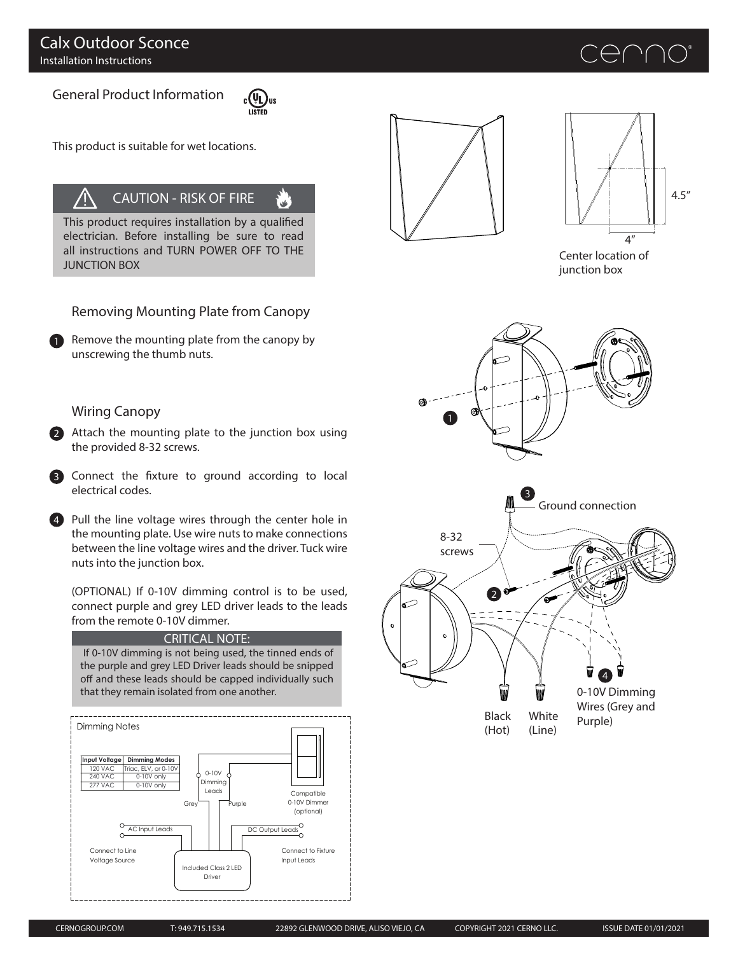General Product Information



This product is suitable for wet locations.

# CAUTION - RISK OF FIRE

This product requires installation by a qualified electrician. Before installing be sure to read all instructions and TURN POWER OFF TO THE JUNCTION BOX



1 Remove the mounting plate from the canopy by unscrewing the thumb nuts.

## Wiring Canopy

- 2 Attach the mounting plate to the junction box using the provided 8-32 screws.
- 3 Connect the fixture to ground according to local electrical codes.
- 4 Pull the line voltage wires through the center hole in the mounting plate. Use wire nuts to make connections between the line voltage wires and the driver. Tuck wire nuts into the junction box.

(OPTIONAL) If 0-10V dimming control is to be used, connect purple and grey LED driver leads to the leads from the remote 0-10V dimmer.

### CRITICAL NOTE:

 If 0-10V dimming is not being used, the tinned ends of the purple and grey LED Driver leads should be snipped off and these leads should be capped individually such that they remain isolated from one another.







Center location of junction box